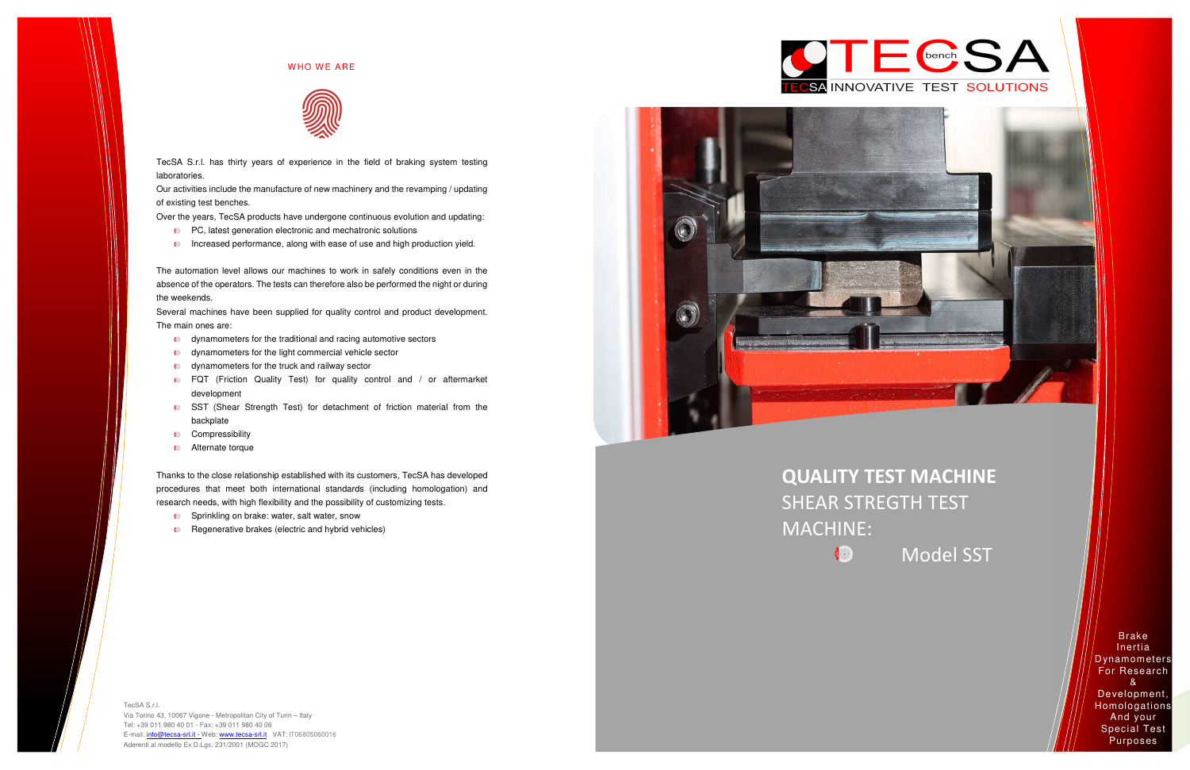# **QUALITY TEST MACHINE**

## SHEAR STREGTH TEST MACHINE: 40

Model SST

TecSA S.r.l. Via Torino 43, 10067 Vigone - Metropolitan City of Turin – Italy Tel: +39 011 980 40 01 - Fax: +39 011 980 40 06 E-mail: <mark>info@tecsa-srl.it -</mark> Web: <mark>www.tecsa-srl.it</mark> VAT: IT06805060016 Aderenti al modello Ex D.Lgs. 231/2001 (MOGC 2017)



Brake Inertia Dynamometers For Research & Development, HomologationsAnd your Special Test Purposes

#### WHO WE ARE



TecSA S.r.l. has thirty years of experience in the field of braking system testing laboratories.

- dynamometers for the traditional and racing automotive sectors
- dynamometers for the light commercial vehicle sector
- $\bullet$  dynamometers for the truck and railway sector
- **••** FQT (Friction Quality Test) for quality control and / or aftermarket development
- **SST** (Shear Strength Test) for detachment of friction material from the backplate
- **Compressibility**
- **Alternate torque**

Our activities include the manufacture of new machinery and the revamping / updating of existing test benches.

Over the years, TecSA products have undergone continuous evolution and updating:

- **PC, latest generation electronic and mechatronic solutions**
- **Increased performance, along with ease of use and high production yield.**

The automation level allows our machines to work in safely conditions even in the absence of the operators. The tests can therefore also be performed the night or during the weekends.

Several machines have been supplied for quality control and product development. The main ones are:

Thanks to the close relationship established with its customers, TecSA has developed procedures that meet both international standards (including homologation) and research needs, with high flexibility and the possibility of customizing tests.

- **Sprinkling on brake: water, salt water, snow**
- Regenerative brakes (electric and hybrid vehicles)